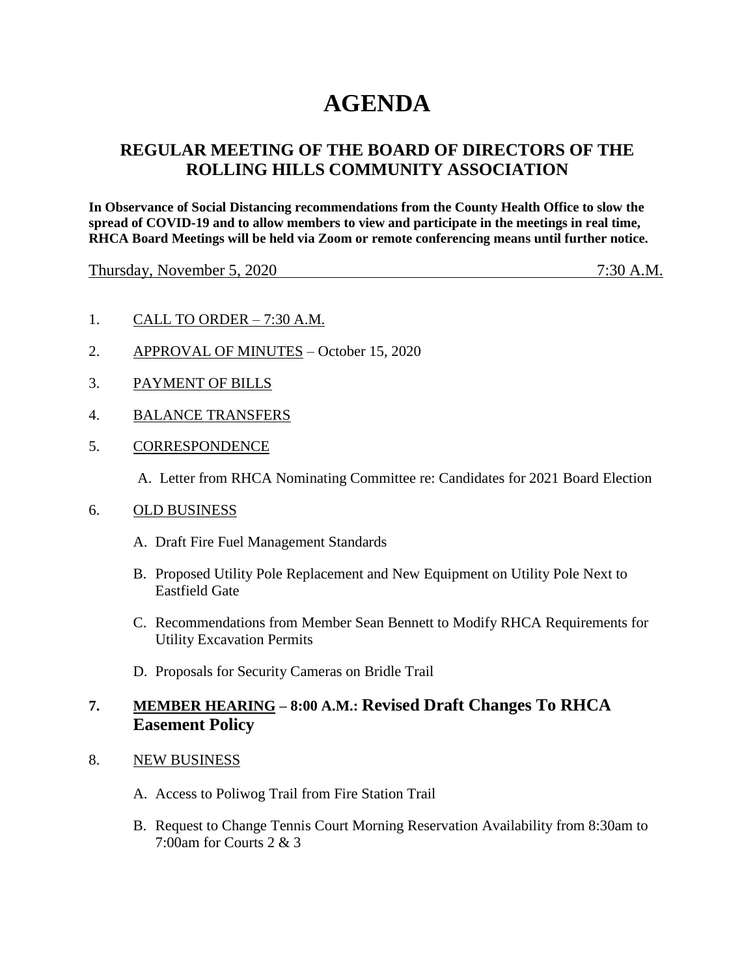## **AGENDA**

## **REGULAR MEETING OF THE BOARD OF DIRECTORS OF THE ROLLING HILLS COMMUNITY ASSOCIATION**

**In Observance of Social Distancing recommendations from the County Health Office to slow the spread of COVID-19 and to allow members to view and participate in the meetings in real time, RHCA Board Meetings will be held via Zoom or remote conferencing means until further notice.** 

Thursday, November 5, 2020 7:30 A.M.

- 1. CALL TO ORDER 7:30 A.M.
- 2. APPROVAL OF MINUTES October 15, 2020
- 3. PAYMENT OF BILLS
- 4. BALANCE TRANSFERS
- 5. CORRESPONDENCE

A. Letter from RHCA Nominating Committee re: Candidates for 2021 Board Election

## 6. OLD BUSINESS

- A. Draft Fire Fuel Management Standards
- B. Proposed Utility Pole Replacement and New Equipment on Utility Pole Next to Eastfield Gate
- C. Recommendations from Member Sean Bennett to Modify RHCA Requirements for Utility Excavation Permits
- D. Proposals for Security Cameras on Bridle Trail

## **7. MEMBER HEARING – 8:00 A.M.: Revised Draft Changes To RHCA Easement Policy**

- 8. NEW BUSINESS
	- A. Access to Poliwog Trail from Fire Station Trail
	- B. Request to Change Tennis Court Morning Reservation Availability from 8:30am to 7:00am for Courts 2 & 3